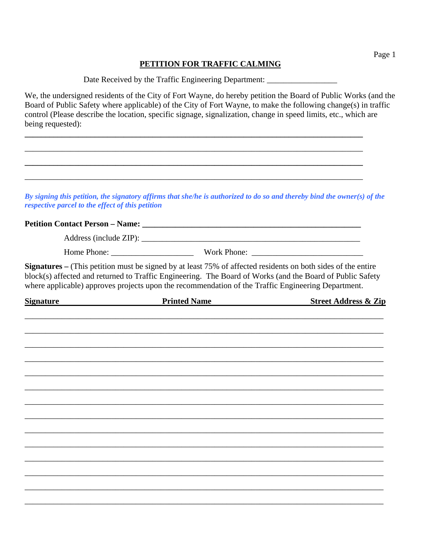## **PETITION FOR TRAFFIC CALMING**

Date Received by the Traffic Engineering Department:

**\_\_\_\_\_\_\_\_\_\_\_\_\_\_\_\_\_\_\_\_\_\_\_\_\_\_\_\_\_\_\_\_\_\_\_\_\_\_\_\_\_\_\_\_\_\_\_\_\_\_\_\_\_\_\_\_\_\_\_\_\_\_\_\_\_\_\_\_\_\_\_\_\_\_\_\_\_\_\_\_\_\_** 

\_\_\_\_\_\_\_\_\_\_\_\_\_\_\_\_\_\_\_\_\_\_\_\_\_\_\_\_\_\_\_\_\_\_\_\_\_\_\_\_\_\_\_\_\_\_\_\_\_\_\_\_\_\_\_\_\_\_\_\_\_\_\_\_\_\_\_\_\_\_\_\_\_\_\_\_\_\_\_\_\_\_

\_\_\_\_\_\_\_\_\_\_\_\_\_\_\_\_\_\_\_\_\_\_\_\_\_\_\_\_\_\_\_\_\_\_\_\_\_\_\_\_\_\_\_\_\_\_\_\_\_\_\_\_\_\_\_\_\_\_\_\_\_\_\_\_\_\_\_\_\_\_\_\_\_\_\_\_\_\_\_\_\_\_

We, the undersigned residents of the City of Fort Wayne, do hereby petition the Board of Public Works (and the Board of Public Safety where applicable) of the City of Fort Wayne, to make the following change(s) in traffic control (Please describe the location, specific signage, signalization, change in speed limits, etc., which are being requested):

*By signing this petition, the signatory affirms that she/he is authorized to do so and thereby bind the owner(s) of the respective parcel to the effect of this petition* 

## **Petition Contact Person – Name:**  $\blacksquare$

Address (include ZIP):

| --<br>$\sim$<br>---<br>hone.<br>$W \cap r$<br>ппе | Phone: |
|---------------------------------------------------|--------|
|---------------------------------------------------|--------|

**Signatures –** (This petition must be signed by at least 75% of affected residents on both sides of the entire block(s) affected and returned to Traffic Engineering. The Board of Works (and the Board of Public Safety where applicable) approves projects upon the recommendation of the Traffic Engineering Department.

| <b>Signature</b> | <b>Printed Name</b> | <b>Street Address &amp; Zip</b> |
|------------------|---------------------|---------------------------------|
|                  |                     |                                 |
|                  |                     |                                 |
|                  |                     |                                 |
|                  |                     |                                 |
|                  |                     |                                 |
|                  |                     |                                 |
|                  |                     |                                 |
|                  |                     |                                 |
|                  |                     |                                 |
|                  |                     |                                 |
|                  |                     |                                 |
|                  |                     |                                 |
|                  |                     |                                 |
|                  |                     |                                 |
|                  |                     |                                 |
|                  |                     |                                 |
|                  |                     |                                 |
|                  |                     |                                 |
|                  |                     |                                 |

Page 1